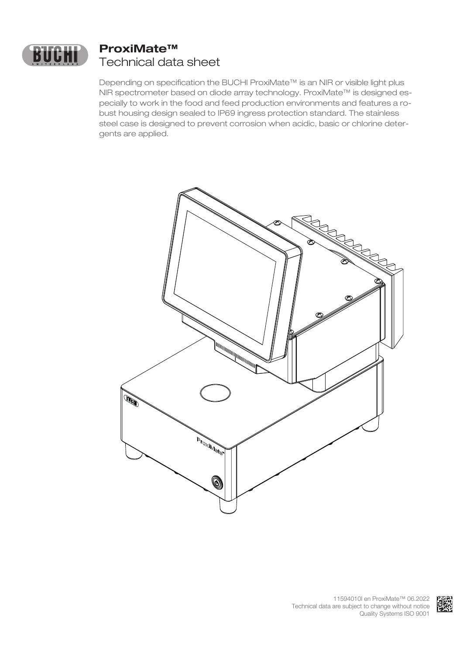

# **ProxiMate™** Technical data sheet

Depending on specification the BUCHI ProxiMate<sup>™</sup> is an NIR or visible light plus NIR spectrometer based on diode array technology. ProxiMate™ is designed especially to work in the food and feed production environments and features a robust housing design sealed to IP69 ingress protection standard. The stainless steel case is designed to prevent corrosion when acidic, basic or chlorine detergents are applied.



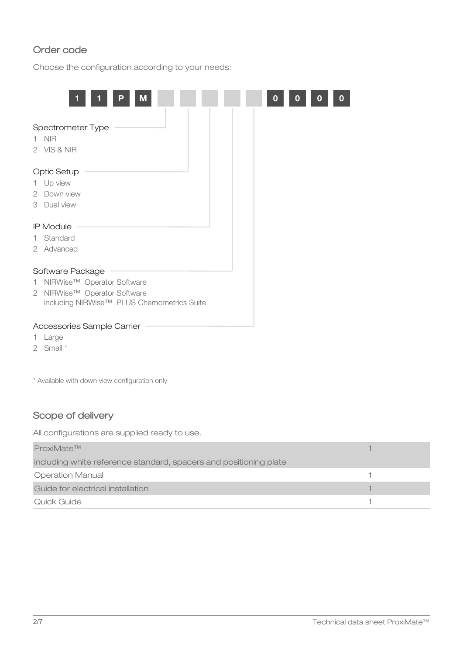### Order code

Choose the configuration according to your needs:

| Μ<br>D                                                                                                                             |  |
|------------------------------------------------------------------------------------------------------------------------------------|--|
| Spectrometer Type<br><b>NIR</b><br>$\mathbf{1}$<br>2 VIS & NIR                                                                     |  |
| <b>Optic Setup</b><br>1 Up view<br>2 Down view<br>3 Dual view                                                                      |  |
| <b>IP Module</b><br>Standard<br>1.<br>2 Advanced                                                                                   |  |
| Software Package<br>NIRWise™ Operator Software<br>1.<br>2 NIRWise™ Operator Software<br>including NIRWise™ PLUS Chemometrics Suite |  |
| Accessories Sample Carrier<br>1 Large                                                                                              |  |

- 1 Large
- 2 Small \*

\* Available with down view configuration only

# Scope of delivery

All configurations are supplied ready to use.

| ProxiMate™                                                        |  |
|-------------------------------------------------------------------|--|
| including white reference standard, spacers and positioning plate |  |
| <b>Operation Manual</b>                                           |  |
| Guide for electrical installation                                 |  |
| Quick Guide                                                       |  |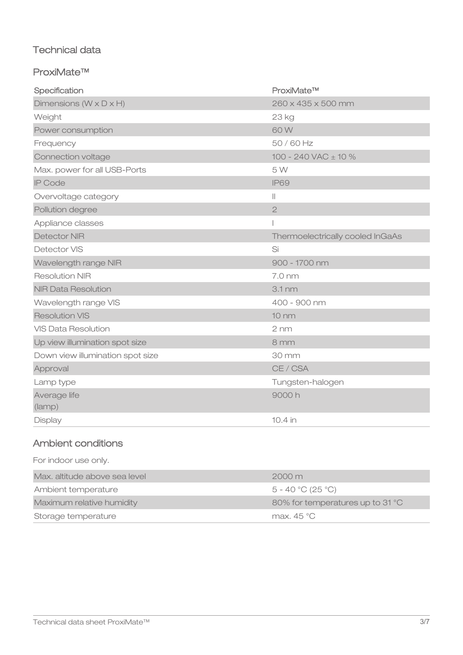# Technical data

### ProxiMate™

| Specification                        | ProxiMate™                       |
|--------------------------------------|----------------------------------|
| Dimensions ( $W \times D \times H$ ) | 260 x 435 x 500 mm               |
| Weight                               | 23 kg                            |
| Power consumption                    | 60W                              |
| Frequency                            | 50/60 Hz                         |
| Connection voltage                   | 100 - 240 VAC $\pm$ 10 %         |
| Max. power for all USB-Ports         | 5W                               |
| <b>IP Code</b>                       | <b>IP69</b>                      |
| Overvoltage category                 | $\vert\vert$                     |
| Pollution degree                     | $\overline{2}$                   |
| Appliance classes                    |                                  |
| Detector NIR                         | Thermoelectrically cooled InGaAs |
| Detector VIS                         | Si                               |
| Wavelength range NIR                 | 900 - 1700 nm                    |
| <b>Resolution NIR</b>                | 7.0 nm                           |
| <b>NIR Data Resolution</b>           | 3.1 <sub>nm</sub>                |
| Wavelength range VIS                 | 400 - 900 nm                     |
| <b>Resolution VIS</b>                | $10 \text{ nm}$                  |
| <b>VIS Data Resolution</b>           | $2 \text{ nm}$                   |
| Up view illumination spot size       | 8 mm                             |
| Down view illumination spot size     | 30 mm                            |
| Approval                             | CE / CSA                         |
| Lamp type                            | Tungsten-halogen                 |
| Average life<br>(lamp)               | 9000h                            |
| Display                              | 10.4 in                          |
|                                      |                                  |

# Ambient conditions

| Storage temperature           | max. $45^{\circ}$ C              |
|-------------------------------|----------------------------------|
| Maximum relative humidity     | 80% for temperatures up to 31 °C |
| Ambient temperature           | $5 - 40$ °C (25 °C)              |
| Max. altitude above sea level | $2000 \,\mathrm{m}$              |
| For indoor use only.          |                                  |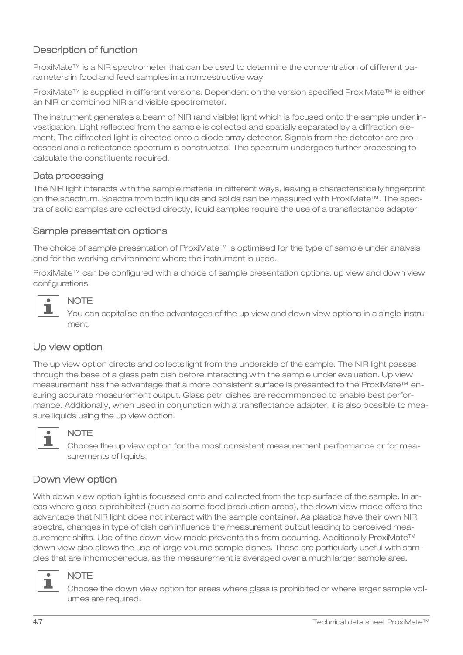# Description of function

ProxiMate™ is a NIR spectrometer that can be used to determine the concentration of different parameters in food and feed samples in a nondestructive way.

ProxiMate™ is supplied in different versions. Dependent on the version specified ProxiMate™ is either an NIR or combined NIR and visible spectrometer.

The instrument generates a beam of NIR (and visible) light which is focused onto the sample under investigation. Light reflected from the sample is collected and spatially separated by a diffraction element. The diffracted light is directed onto a diode array detector. Signals from the detector are processed and a reflectance spectrum is constructed. This spectrum undergoes further processing to calculate the constituents required.

#### Data processing

The NIR light interacts with the sample material in different ways, leaving a characteristically fingerprint on the spectrum. Spectra from both liquids and solids can be measured with ProxiMate™. The spectra of solid samples are collected directly, liquid samples require the use of a transflectance adapter.

#### Sample presentation options

The choice of sample presentation of ProxiMate™ is optimised for the type of sample under analysis and for the working environment where the instrument is used.

ProxiMate™ can be configured with a choice of sample presentation options: up view and down view configurations.



# **NOTE**

You can capitalise on the advantages of the up view and down view options in a single instrument.

### Up view option

The up view option directs and collects light from the underside of the sample. The NIR light passes through the base of a glass petri dish before interacting with the sample under evaluation. Up view measurement has the advantage that a more consistent surface is presented to the ProxiMate™ ensuring accurate measurement output. Glass petri dishes are recommended to enable best performance. Additionally, when used in conjunction with a transflectance adapter, it is also possible to measure liquids using the up view option.



#### **NOTE**

Choose the up view option for the most consistent measurement performance or for measurements of liquids.

#### Down view option

With down view option light is focussed onto and collected from the top surface of the sample. In areas where glass is prohibited (such as some food production areas), the down view mode offers the advantage that NIR light does not interact with the sample container. As plastics have their own NIR spectra, changes in type of dish can influence the measurement output leading to perceived measurement shifts. Use of the down view mode prevents this from occurring. Additionally ProxiMate™ down view also allows the use of large volume sample dishes. These are particularly useful with samples that are inhomogeneous, as the measurement is averaged over a much larger sample area.



#### **NOTE**

Choose the down view option for areas where glass is prohibited or where larger sample volumes are required.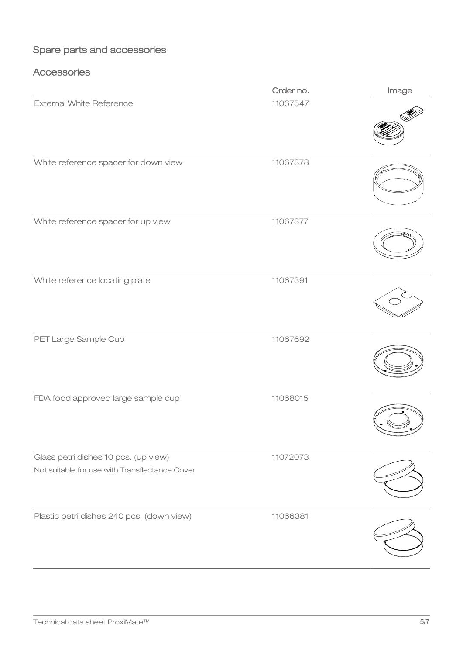# Spare parts and accessories

# **Accessories**

|                                                                                        | Order no. | Image |
|----------------------------------------------------------------------------------------|-----------|-------|
| <b>External White Reference</b>                                                        | 11067547  |       |
| White reference spacer for down view                                                   | 11067378  |       |
| White reference spacer for up view                                                     | 11067377  |       |
| White reference locating plate                                                         | 11067391  |       |
| PET Large Sample Cup                                                                   | 11067692  |       |
| FDA food approved large sample cup                                                     | 11068015  |       |
| Glass petri dishes 10 pcs. (up view)<br>Not suitable for use with Transflectance Cover | 11072073  |       |
| Plastic petri dishes 240 pcs. (down view)                                              | 11066381  |       |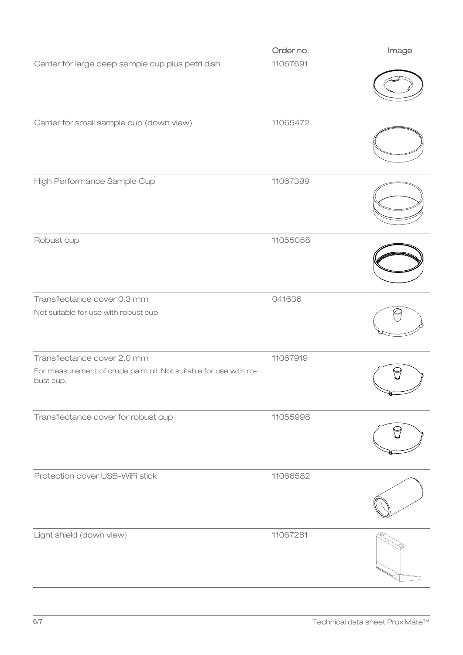|                                                                                                              | Order no. | Image |
|--------------------------------------------------------------------------------------------------------------|-----------|-------|
| Carrier for large deep sample cup plus petri dish                                                            | 11067691  |       |
| Carrier for small sample cup (down view)                                                                     | 11065472  |       |
| High Performance Sample Cup                                                                                  | 11067399  |       |
| Robust cup                                                                                                   | 11055058  |       |
| Transflectance cover 0.3 mm<br>Not suitable for use with robust cup                                          | 041636    |       |
| Transflectance cover 2.0 mm<br>For measurement of crude palm oil. Not suitable for use with ro-<br>bust cup. | 11067919  |       |
| Transflectance cover for robust cup                                                                          | 11055998  |       |
| Protection cover USB-WiFi stick                                                                              | 11066582  |       |
| Light shield (down view)                                                                                     | 11067281  |       |